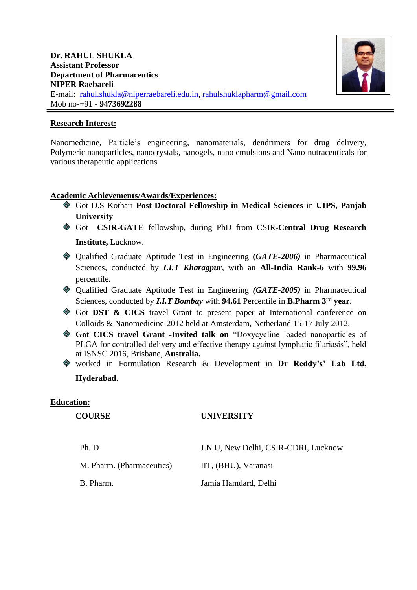

## **Research Interest:**

Nanomedicine, Particle's engineering, nanomaterials, dendrimers for drug delivery, Polymeric nanoparticles, nanocrystals, nanogels, nano emulsions and Nano-nutraceuticals for various therapeutic applications

## **Academic Achievements/Awards/Experiences:**

- Got D.S Kothari **Post-Doctoral Fellowship in Medical Sciences** in **UIPS, Panjab University**
- Got **CSIR-GATE** fellowship, during PhD from CSIR-**Central Drug Research Institute,** Lucknow.
- Qualified Graduate Aptitude Test in Engineering **(***GATE-2006)* in Pharmaceutical Sciences, conducted by *I.I.T Kharagpur*, with an **All-India Rank-6** with **99.96** percentile.
- Qualified Graduate Aptitude Test in Engineering *(GATE-2005)* in Pharmaceutical Sciences, conducted by *I.I.T Bombay* with **94.61** Percentile in **B.Pharm 3rd year**.
- Got **DST & CICS** travel Grant to present paper at International conference on Colloids & Nanomedicine-2012 held at Amsterdam, Netherland 15-17 July 2012.
- **Got CICS travel Grant -Invited talk on** "Doxycycline loaded nanoparticles of PLGA for controlled delivery and effective therapy against lymphatic filariasis", held at ISNSC 2016, Brisbane, **Australia.**
- worked in Formulation Research & Development in **Dr Reddy's' Lab Ltd, Hyderabad.**

#### **Education:**

### **COURSE UNIVERSITY**

- Ph. D J.N.U, New Delhi, CSIR-CDRI, Lucknow
- M. Pharm. (Pharmaceutics) IIT, (BHU), Varanasi

B. Pharm. Jamia Hamdard, Delhi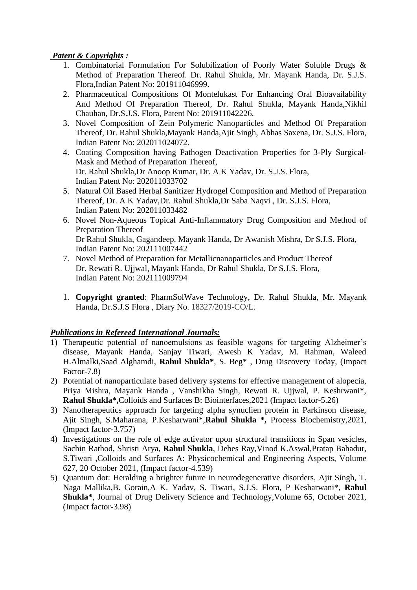# *Patent & Copyrights :*

- 1. Combinatorial Formulation For Solubilization of Poorly Water Soluble Drugs & Method of Preparation Thereof. Dr. Rahul Shukla, Mr. Mayank Handa, Dr. S.J.S. Flora,Indian Patent No: 201911046999.
- 2. Pharmaceutical Compositions Of Montelukast For Enhancing Oral Bioavailability And Method Of Preparation Thereof, Dr. Rahul Shukla, Mayank Handa,Nikhil Chauhan, Dr.S.J.S. Flora, Patent No: 201911042226.
- 3. Novel Composition of Zein Polymeric Nanoparticles and Method Of Preparation Thereof, Dr. Rahul Shukla,Mayank Handa,Ajit Singh, Abhas Saxena, Dr. S.J.S. Flora, Indian Patent No: 202011024072.
- 4. Coating Composition having Pathogen Deactivation Properties for 3-Ply Surgical-Mask and Method of Preparation Thereof, Dr. Rahul Shukla,Dr Anoop Kumar, Dr. A K Yadav, Dr. S.J.S. Flora, Indian Patent No: 202011033702
- 5. Natural Oil Based Herbal Sanitizer Hydrogel Composition and Method of Preparation Thereof, Dr. A K Yadav,Dr. Rahul Shukla,Dr Saba Naqvi , Dr. S.J.S. Flora, Indian Patent No: 202011033482
- 6. Novel Non-Aqueous Topical Anti-Inflammatory Drug Composition and Method of Preparation Thereof Dr Rahul Shukla, Gagandeep, Mayank Handa, Dr Awanish Mishra, Dr S.J.S. Flora, Indian Patent No: 202111007442
- 7. Novel Method of Preparation for Metallicnanoparticles and Product Thereof Dr. Rewati R. Ujjwal, Mayank Handa, Dr Rahul Shukla, Dr S.J.S. Flora, Indian Patent No: 202111009794
- 1. **Copyright granted**: PharmSolWave Technology, Dr. Rahul Shukla, Mr. Mayank Handa, Dr.S.J.S Flora , Diary No. 18327/2019-CO/L.

# *Publications in Refereed International Journals:*

- 1) Therapeutic potential of nanoemulsions as feasible wagons for targeting Alzheimer's disease, Mayank Handa, Sanjay Tiwari, Awesh K Yadav, M. Rahman, Waleed H.Almalki,Saad Alghamdi, **Rahul Shukla\***, S. Beg\* , Drug Discovery Today, (Impact Factor-7.8)
- 2) Potential of nanoparticulate based delivery systems for effective management of alopecia, Priya Mishra, Mayank Handa , Vanshikha Singh, Rewati R. Ujjwal, P. Keshrwani\*, **Rahul Shukla\*,**Colloids and Surfaces B: Biointerfaces,2021 (Impact factor-5.26)
- 3) Nanotherapeutics approach for targeting alpha synuclien protein in Parkinson disease, Ajit Singh, S.Maharana, P.Kesharwani\*,**Rahul Shukla \*,** Process Biochemistry,2021, (Impact factor-3.757)
- 4) Investigations on the role of edge activator upon structural transitions in Span vesicles, Sachin Rathod, Shristi Arya, **Rahul Shukla**, Debes Ray,Vinod K.Aswal,Pratap Bahadur, S.Tiwari ,Colloids and Surfaces A: Physicochemical and Engineering Aspects, Volume 627, 20 October 2021, (Impact factor-4.539)
- 5) Quantum dot: Heralding a brighter future in neurodegenerative disorders, Ajit Singh, T. Naga Mallika,B. Gorain,A K. Yadav, S. Tiwari, S.J.S. Flora, P Kesharwani\*, **Rahul Shukla\***, Journal of Drug Delivery Science and Technology,Volume 65, October 2021, (Impact factor-3.98)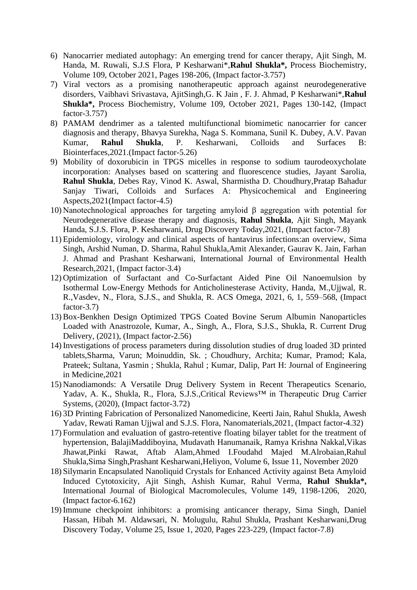- 6) Nanocarrier mediated autophagy: An emerging trend for cancer therapy, Ajit Singh, M. Handa, M. Ruwali, S.J.S Flora, P Kesharwani\*,**Rahul Shukla\*,** Process Biochemistry, Volume 109, October 2021, Pages 198-206, (Impact factor-3.757)
- 7) Viral vectors as a promising nanotherapeutic approach against neurodegenerative disorders, Vaibhavi Srivastava, AjitSingh,G. K Jain , F. J. Ahmad, P Kesharwani\*,**Rahul Shukla\*,** Process Biochemistry, Volume 109, October 2021, Pages 130-142, (Impact factor-3.757)
- 8) PAMAM dendrimer as a talented multifunctional biomimetic nanocarrier for cancer diagnosis and therapy, Bhavya Surekha, Naga S. Kommana, Sunil K. Dubey, A.V. Pavan Kumar, **Rahul Shukla**, P. Kesharwani, Colloids and Surfaces B: Biointerfaces,2021.(Impact factor-5.26)
- 9) Mobility of doxorubicin in TPGS micelles in response to sodium taurodeoxycholate incorporation: Analyses based on scattering and fluorescence studies, Jayant Sarolia, **Rahul Shukla**, Debes Ray, Vinod K. Aswal, Sharmistha D. Choudhury,Pratap Bahadur Sanjay Tiwari, Colloids and Surfaces A: Physicochemical and Engineering Aspects,2021(Impact factor-4.5)
- 10) Nanotechnological approaches for targeting amyloid β aggregation with potential for Neurodegenerative disease therapy and diagnosis, **Rahul Shukla**, Ajit Singh, Mayank Handa, S.J.S. Flora, P. Kesharwani, Drug Discovery Today,2021, (Impact factor-7.8)
- 11) Epidemiology, virology and clinical aspects of hantavirus infections:an overview, Sima Singh, Arshid Numan, D. Sharma, Rahul Shukla,Amit Alexander, Gaurav K. Jain, Farhan J. Ahmad and Prashant Kesharwani, International Journal of Environmental Health Research,2021, (Impact factor-3.4)
- 12) Optimization of Surfactant and Co-Surfactant Aided Pine Oil Nanoemulsion by Isothermal Low-Energy Methods for Anticholinesterase Activity, Handa, M.,Ujjwal, R. R.,Vasdev, N., Flora, S.J.S., and Shukla, R. ACS Omega, 2021, 6, 1, 559–568, (Impact factor-3.7)
- 13) Box-Benkhen Design Optimized TPGS Coated Bovine Serum Albumin Nanoparticles Loaded with Anastrozole, Kumar, A., Singh, A., Flora, S.J.S., Shukla, R. Current Drug Delivery, (2021), (Impact factor-2.56)
- 14) Investigations of process parameters during dissolution studies of drug loaded 3D printed tablets,Sharma, Varun; Moinuddin, Sk. ; Choudhury, Archita; Kumar, Pramod; Kala, Prateek; Sultana, Yasmin ; Shukla, Rahul ; Kumar, Dalip, Part H: Journal of Engineering in Medicine,2021
- 15) Nanodiamonds: A Versatile Drug Delivery System in Recent Therapeutics Scenario, Yadav, A. K., Shukla, R., Flora, S.J.S.,Critical Reviews™ in Therapeutic Drug Carrier Systems, (2020), (Impact factor-3.72)
- 16) 3D Printing Fabrication of Personalized Nanomedicine, Keerti Jain, Rahul Shukla, Awesh Yadav, Rewati Raman Ujjwal and S.J.S. Flora, Nanomaterials,2021, (Impact factor-4.32)
- 17) Formulation and evaluation of gastro-retentive floating bilayer tablet for the treatment of hypertension, BalajiMaddiboyina, Mudavath Hanumanaik, Ramya Krishna Nakkal,Vikas Jhawat,Pinki Rawat, Aftab Alam,Ahmed I.Foudahd Majed M.Alrobaian,Rahul Shukla,Sima Singh,Prashant Kesharwani,Heliyon, Volume 6, Issue 11, November 2020
- 18) Silymarin Encapsulated Nanoliquid Crystals for Enhanced Activity against Beta Amyloid Induced Cytotoxicity, Ajit Singh, Ashish Kumar, Rahul Verma, **Rahul Shukla\*,** International Journal of Biological Macromolecules, Volume 149, 1198-1206, 2020, (Impact factor-6.162)
- 19) Immune checkpoint inhibitors: a promising anticancer therapy, Sima Singh, Daniel Hassan, Hibah M. Aldawsari, N. Molugulu, Rahul Shukla, Prashant Kesharwani,Drug Discovery Today, Volume 25, Issue 1, 2020, Pages 223-229, (Impact factor-7.8)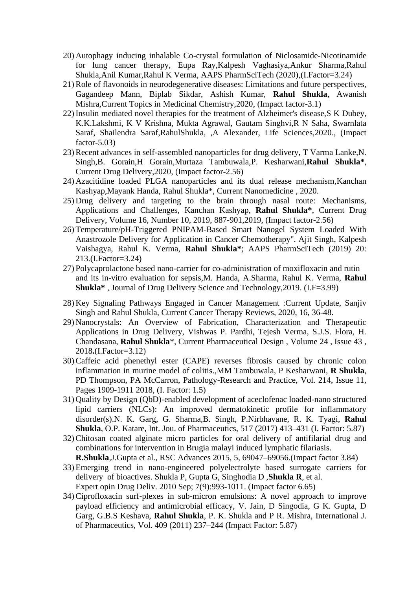- 20) Autophagy inducing inhalable Co-crystal formulation of Niclosamide-Nicotinamide for lung cancer therapy, Eupa Ray,Kalpesh Vaghasiya,Ankur Sharma,Rahul Shukla,Anil Kumar,Rahul K Verma, AAPS PharmSciTech (2020),(I.Factor=3.24)
- 21)Role of flavonoids in neurodegenerative diseases: Limitations and future perspectives, Gagandeep Mann, Biplab Sikdar, Ashish Kumar, **Rahul Shukla**, Awanish Mishra,Current Topics in Medicinal Chemistry,2020, (Impact factor-3.1)
- 22) Insulin mediated novel therapies for the treatment of Alzheimer's disease,S K Dubey, K.K.Lakshmi, K V Krishna, Mukta Agrawal, Gautam Singhvi,R N Saha, Swarnlata Saraf, Shailendra Saraf,RahulShukla, ,A Alexander, Life Sciences,2020., (Impact factor- $5.03$ )
- 23)Recent advances in self-assembled nanoparticles for drug delivery, T Varma Lanke,N. Singh,B. Gorain,H Gorain,Murtaza Tambuwala,P. Kesharwani,**Rahul Shukla\***, Current Drug Delivery,2020, (Impact factor-2.56)
- 24) Azacitidine loaded PLGA nanoparticles and its dual release mechanism,Kanchan Kashyap,Mayank Handa, Rahul Shukla\*, Current Nanomedicine , 2020.
- 25) Drug delivery and targeting to the brain through nasal route: Mechanisms, Applications and Challenges, Kanchan Kashyap, **Rahul Shukla\***, Current Drug Delivery, Volume 16, Number 10, 2019, 887-901,2019, (Impact factor-2.56)
- 26) Temperature/pH-Triggered PNIPAM-Based Smart Nanogel System Loaded With Anastrozole Delivery for Application in Cancer Chemotherapy". Ajit Singh, Kalpesh Vaishagya, Rahul K. Verma, **Rahul Shukla\***; AAPS PharmSciTech (2019) 20: 213.(I.Factor=3.24)
- 27) Polycaprolactone based nano-carrier for co-administration of moxifloxacin and rutin and its in-vitro evaluation for sepsis,M. Handa, A.Sharma, Rahul K. Verma, **Rahul Shukla\*** , Journal of Drug Delivery Science and Technology,2019. (I.F=3.99)
- 28) Key Signaling Pathways Engaged in Cancer Management :Current Update, Sanjiv Singh and Rahul Shukla, Current Cancer Therapy Reviews, 2020, 16, 36-48.
- 29) Nanocrystals: An Overview of Fabrication, Characterization and Therapeutic Applications in Drug Delivery, Vishwas P. Pardhi, Tejesh Verma, S.J.S. Flora, H. Chandasana, **Rahul Shukla**\*, Current Pharmaceutical Design , Volume 24 , Issue 43 , 2018**.**(I.Factor=3.12)
- 30)Caffeic acid phenethyl ester (CAPE) reverses fibrosis caused by chronic colon inflammation in murine model of colitis.,MM Tambuwala, P Kesharwani, **R Shukla**, PD Thompson, PA McCarron, Pathology-Research and Practice, Vol. 214, Issue 11, Pages 1909-1911 2018, (I. Factor: 1.5)
- 31) Quality by Design (QbD)-enabled development of aceclofenac loaded-nano structured lipid carriers (NLCs): An improved dermatokinetic profile for inflammatory disorder(s).N. K. Garg, G. Sharma,B. Singh, P.Nirbhavane, R. K. Tyagi, **Rahul Shukla**, O.P. Katare, Int. Jou. of Pharmaceutics, 517 (2017) 413–431 (I. Factor: 5.87)
- 32)Chitosan coated alginate micro particles for oral delivery of antifilarial drug and combinations for intervention in Brugia malayi induced lymphatic filariasis. **R.Shukla**,J.Gupta et al., RSC Advances 2015, 5, 69047–69056.(Impact factor 3.84)
- 33) Emerging trend in nano-engineered polyelectrolyte based surrogate carriers for delivery of bioactives. Shukla P, Gupta G, Singhodia D ,**Shukla R**, et al. Expert opin Drug Deliv. 2010 Sep; 7(9):993-1011. (Impact factor 6.65)
- 34)Ciprofloxacin surf-plexes in sub-micron emulsions: A novel approach to improve payload efficiency and antimicrobial efficacy, V. Jain, D Singodia, G K. Gupta, D Garg, G.B.S Keshava, **Rahul Shukla**, P. K. Shukla and P R. Mishra, International J. of Pharmaceutics, Vol. 409 (2011) 237–244 (Impact Factor: 5.87)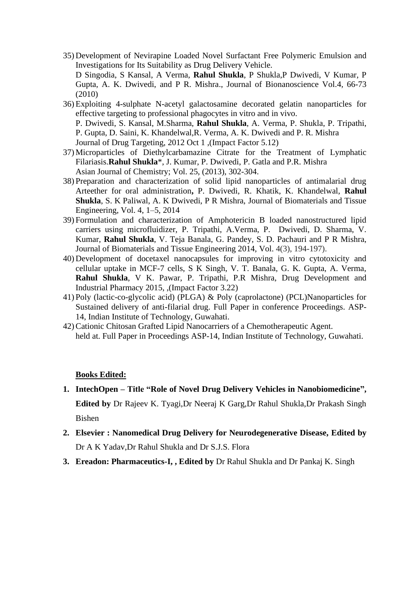- 35) Development of Nevirapine Loaded Novel Surfactant Free Polymeric Emulsion and Investigations for Its Suitability as Drug Delivery Vehicle. D Singodia, S Kansal, A Verma, **Rahul Shukla**, P Shukla,P Dwivedi, V Kumar, P Gupta, A. K. Dwivedi, and P R. Mishra., Journal of Bionanoscience Vol.4, 66-73 (2010)
- 36) Exploiting 4-sulphate N-acetyl galactosamine decorated gelatin nanoparticles for effective targeting to professional phagocytes in vitro and in vivo. P. Dwivedi, S. Kansal, M.Sharma, **Rahul Shukla**, A. Verma, P. Shukla, P. Tripathi, P. Gupta, D. Saini, K. Khandelwal,R. Verma, A. K. Dwivedi and P. R. Mishra

Journal of Drug Targeting, 2012 Oct 1 ,(Impact Factor 5.12)

- 37) Microparticles of Diethylcarbamazine Citrate for the Treatment of Lymphatic Filariasis.**Rahul Shukla**\*, J. Kumar, P. Dwivedi, P. Gatla and P.R. Mishra Asian Journal of Chemistry; Vol. 25, (2013), 302-304.
- 38) Preparation and characterization of solid lipid nanoparticles of antimalarial drug Arteether for oral administration**,** P. Dwivedi, R. Khatik, K. Khandelwal, **Rahul Shukla**, S. K Paliwal, A. K Dwivedi, P R Mishra, Journal of Biomaterials and Tissue Engineering, Vol. 4, 1–5, 2014
- 39) Formulation and characterization of Amphotericin B loaded nanostructured lipid carriers using microfluidizer, P. Tripathi, A.Verma, P. Dwivedi, D. Sharma, V. Kumar, **Rahul Shukla**, V. Teja Banala, G. Pandey, S. D. Pachauri and P R Mishra, Journal of Biomaterials and Tissue Engineering 2014, Vol. 4(3), 194-197).
- 40) Development of docetaxel nanocapsules for improving in vitro cytotoxicity and cellular uptake in MCF-7 cells, S K Singh, V. T. Banala, G. K. Gupta, A. Verma, **Rahul Shukla**, V K. Pawar, P. Tripathi, P.R Mishra, Drug Development and Industrial Pharmacy 2015, ,(Impact Factor 3.22)
- 41) Poly (lactic-co-glycolic acid) (PLGA) & Poly (caprolactone) (PCL)Nanoparticles for Sustained delivery of anti-filarial drug. Full Paper in conference Proceedings. ASP-14, Indian Institute of Technology, Guwahati.
- 42)Cationic Chitosan Grafted Lipid Nanocarriers of a Chemotherapeutic Agent. held at. Full Paper in Proceedings ASP-14, Indian Institute of Technology, Guwahati.

#### **Books Edited:**

- **1. IntechOpen – Title "Role of Novel Drug Delivery Vehicles in Nanobiomedicine", Edited by** Dr Rajeev K. Tyagi,Dr Neeraj K Garg,Dr Rahul Shukla,Dr Prakash Singh Bishen
- **2. Elsevier : Nanomedical Drug Delivery for Neurodegenerative Disease, Edited by** Dr A K Yadav,Dr Rahul Shukla and Dr S.J.S. Flora
- **3. Ereadon: Pharmaceutics-I, , Edited by** Dr Rahul Shukla and Dr Pankaj K. Singh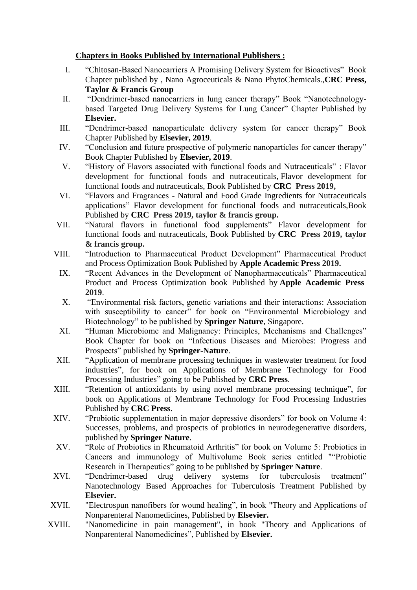# **Chapters in Books Published by International Publishers :**

- I. "Chitosan-Based Nanocarriers A Promising Delivery System for Bioactives" Book Chapter published by , Nano Agroceuticals & Nano PhytoChemicals.,**CRC Press, Taylor & Francis Group**
- II. "Dendrimer-based nanocarriers in lung cancer therapy" Book "Nanotechnologybased Targeted Drug Delivery Systems for Lung Cancer" Chapter Published by **Elsevier.**
- III. "Dendrimer-based nanoparticulate delivery system for cancer therapy" Book Chapter Published by **Elsevier, 2019**.
- IV. "Conclusion and future prospective of polymeric nanoparticles for cancer therapy" Book Chapter Published by **Elsevier, 2019**.
- V. "History of Flavors associated with functional foods and Nutraceuticals" : Flavor development for functional foods and nutraceuticals, Flavor development for functional foods and nutraceuticals, Book Published by **CRC Press 2019,**
- VI. "Flavors and Fragrances Natural and Food Grade Ingredients for Nutraceuticals applications" Flavor development for functional foods and nutraceuticals,Book Published by **CRC Press 2019, taylor & francis group.**
- VII. "Natural flavors in functional food supplements" Flavor development for functional foods and nutraceuticals, Book Published by **CRC Press 2019, taylor & francis group.**
- VIII. "Introduction to Pharmaceutical Product Development" Pharmaceutical Product and Process Optimization Book Published by **Apple Academic Press 2019.**
	- IX. "Recent Advances in the Development of Nanopharmaceuticals" Pharmaceutical Product and Process Optimization book Published by **Apple Academic Press 2019**.
	- X. "Environmental risk factors, genetic variations and their interactions: Association with susceptibility to cancer" for book on "Environmental Microbiology and Biotechnology" to be published by **Springer Nature**, Singapore.
	- XI. "Human Microbiome and Malignancy: Principles, Mechanisms and Challenges" Book Chapter for book on "Infectious Diseases and Microbes: Progress and Prospects" published by **Springer-Nature**.
- XII. "Application of membrane processing techniques in wastewater treatment for food industries", for book on Applications of Membrane Technology for Food Processing Industries" going to be Published by **CRC Press**.
- XIII. "Retention of antioxidants by using novel membrane processing technique", for book on Applications of Membrane Technology for Food Processing Industries Published by **CRC Press**.
- XIV. "Probiotic supplementation in major depressive disorders" for book on Volume 4: Successes, problems, and prospects of probiotics in neurodegenerative disorders, published by **Springer Nature**.
- XV. "Role of Probiotics in Rheumatoid Arthritis" for book on Volume 5: Probiotics in Cancers and immunology of Multivolume Book series entitled ""Probiotic Research in Therapeutics" going to be published by **Springer Nature**.
- XVI. "Dendrimer-based drug delivery systems for tuberculosis treatment" Nanotechnology Based Approaches for Tuberculosis Treatment Published by **Elsevier.**
- XVII. "Electrospun nanofibers for wound healing", in book "Theory and Applications of Nonparenteral Nanomedicines, Published by **Elsevier.**
- XVIII. "Nanomedicine in pain management", in book "Theory and Applications of Nonparenteral Nanomedicines", Published by **Elsevier.**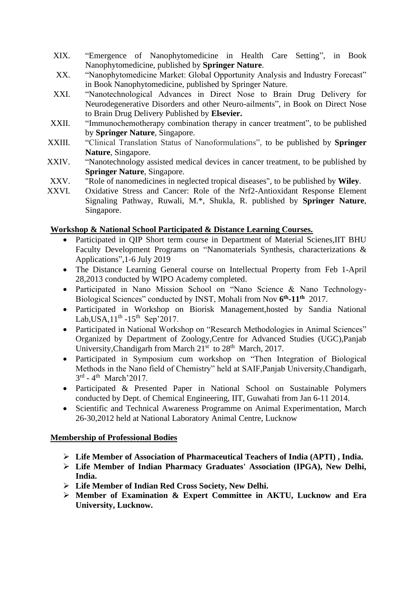- XIX. "Emergence of Nanophytomedicine in Health Care Setting", in Book Nanophytomedicine, published by **Springer Nature**.
- XX. "Nanophytomedicine Market: Global Opportunity Analysis and Industry Forecast" in Book Nanophytomedicine, published by Springer Nature.
- XXI. "Nanotechnological Advances in Direct Nose to Brain Drug Delivery for Neurodegenerative Disorders and other Neuro-ailments", in Book on Direct Nose to Brain Drug Delivery Published by **Elsevier.**
- XXII. "Immunochemotherapy combination therapy in cancer treatment", to be published by **Springer Nature**, Singapore.
- XXIII. "Clinical Translation Status of Nanoformulations", to be published by **Springer Nature**, Singapore.
- XXIV. "Nanotechnology assisted medical devices in cancer treatment, to be published by **Springer Nature**, Singapore.
- XXV. "Role of nanomedicines in neglected tropical diseases", to be published by **Wiley**.
- XXVI. Oxidative Stress and Cancer: Role of the Nrf2-Antioxidant Response Element Signaling Pathway, Ruwali, M.\*, Shukla, R. published by **Springer Nature**, Singapore.

# **Workshop & National School Participated & Distance Learning Courses.**

- Participated in QIP Short term course in Department of Material Scienes, IIT BHU Faculty Development Programs on "Nanomaterials Synthesis, characterizations & Applications",1-6 July 2019
- The Distance Learning General course on Intellectual Property from Feb 1-April 28,2013 conducted by WIPO Academy completed.
- Participated in Nano Mission School on "Nano Science & Nano Technology-Biological Sciences" conducted by INST, Mohali from Nov **6 th -11th** 2017.
- Participated in Workshop on Biorisk Management,hosted by Sandia National Lab, USA,  $11^{th}$  -  $15^{th}$  Sep' 2017.
- Participated in National Workshop on "Research Methodologies in Animal Sciences" Organized by Department of Zoology,Centre for Advanced Studies (UGC),Panjab University, Chandigarh from March 21<sup>st</sup> to 28<sup>th</sup> March, 2017.
- Participated in Symposium cum workshop on "Then Integration of Biological Methods in the Nano field of Chemistry" held at SAIF,Panjab University,Chandigarh,  $3<sup>rd</sup>$  - 4<sup>th</sup> March'2017.
- Participated & Presented Paper in National School on Sustainable Polymers conducted by Dept. of Chemical Engineering, IIT, Guwahati from Jan 6-11 2014.
- Scientific and Technical Awareness Programme on Animal Experimentation, March 26-30,2012 held at National Laboratory Animal Centre, Lucknow

### **Membership of Professional Bodies**

- ➢ **Life Member of Association of Pharmaceutical Teachers of India (APTI) , India.**
- ➢ **Life Member of Indian Pharmacy Graduates' Association (IPGA), New Delhi, India.**
- ➢ **Life Member of Indian Red Cross Society, New Delhi.**
- ➢ **Member of Examination & Expert Committee in AKTU, Lucknow and Era University, Lucknow.**